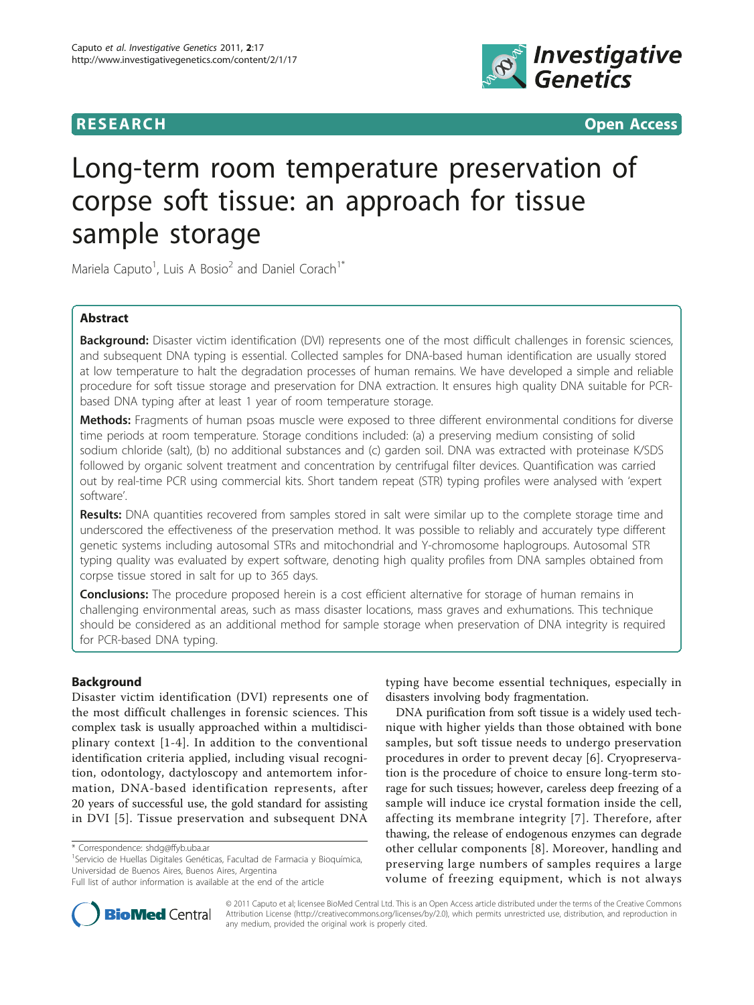

**RESEARCH CONTROL** CONTROL CONTROL CONTROL CONTROL CONTROL CONTROL CONTROL CONTROL CONTROL CONTROL CONTROL CONTROL CONTROL CONTROL CONTROL CONTROL CONTROL CONTROL CONTROL CONTROL CONTROL CONTROL CONTROL CONTROL CONTROL CON

# Long-term room temperature preservation of corpse soft tissue: an approach for tissue sample storage

Mariela Caputo<sup>1</sup>, Luis A Bosio<sup>2</sup> and Daniel Corach<sup>1\*</sup>

# Abstract

Background: Disaster victim identification (DVI) represents one of the most difficult challenges in forensic sciences, and subsequent DNA typing is essential. Collected samples for DNA-based human identification are usually stored at low temperature to halt the degradation processes of human remains. We have developed a simple and reliable procedure for soft tissue storage and preservation for DNA extraction. It ensures high quality DNA suitable for PCRbased DNA typing after at least 1 year of room temperature storage.

Methods: Fragments of human psoas muscle were exposed to three different environmental conditions for diverse time periods at room temperature. Storage conditions included: (a) a preserving medium consisting of solid sodium chloride (salt), (b) no additional substances and (c) garden soil. DNA was extracted with proteinase K/SDS followed by organic solvent treatment and concentration by centrifugal filter devices. Quantification was carried out by real-time PCR using commercial kits. Short tandem repeat (STR) typing profiles were analysed with 'expert software'.

Results: DNA quantities recovered from samples stored in salt were similar up to the complete storage time and underscored the effectiveness of the preservation method. It was possible to reliably and accurately type different genetic systems including autosomal STRs and mitochondrial and Y-chromosome haplogroups. Autosomal STR typing quality was evaluated by expert software, denoting high quality profiles from DNA samples obtained from corpse tissue stored in salt for up to 365 days.

Conclusions: The procedure proposed herein is a cost efficient alternative for storage of human remains in challenging environmental areas, such as mass disaster locations, mass graves and exhumations. This technique should be considered as an additional method for sample storage when preservation of DNA integrity is required for PCR-based DNA typing.

# Background

Disaster victim identification (DVI) represents one of the most difficult challenges in forensic sciences. This complex task is usually approached within a multidisciplinary context [[1-4\]](#page-4-0). In addition to the conventional identification criteria applied, including visual recognition, odontology, dactyloscopy and antemortem information, DNA-based identification represents, after 20 years of successful use, the gold standard for assisting in DVI [[5\]](#page-4-0). Tissue preservation and subsequent DNA

typing have become essential techniques, especially in disasters involving body fragmentation.

DNA purification from soft tissue is a widely used technique with higher yields than those obtained with bone samples, but soft tissue needs to undergo preservation procedures in order to prevent decay [\[6](#page-4-0)]. Cryopreservation is the procedure of choice to ensure long-term storage for such tissues; however, careless deep freezing of a sample will induce ice crystal formation inside the cell, affecting its membrane integrity [[7\]](#page-4-0). Therefore, after thawing, the release of endogenous enzymes can degrade other cellular components [[8\]](#page-5-0). Moreover, handling and preserving large numbers of samples requires a large volume of freezing equipment, which is not always



© 2011 Caputo et al; licensee BioMed Central Ltd. This is an Open Access article distributed under the terms of the Creative Commons Attribution License [\(http://creativecommons.org/licenses/by/2.0](http://creativecommons.org/licenses/by/2.0)), which permits unrestricted use, distribution, and reproduction in any medium, provided the original work is properly cited.

<sup>\*</sup> Correspondence: [shdg@ffyb.uba.ar](mailto:shdg@ffyb.uba.ar)

<sup>1</sup> Servicio de Huellas Digitales Genéticas, Facultad de Farmacia y Bioquímica, Universidad de Buenos Aires, Buenos Aires, Argentina

Full list of author information is available at the end of the article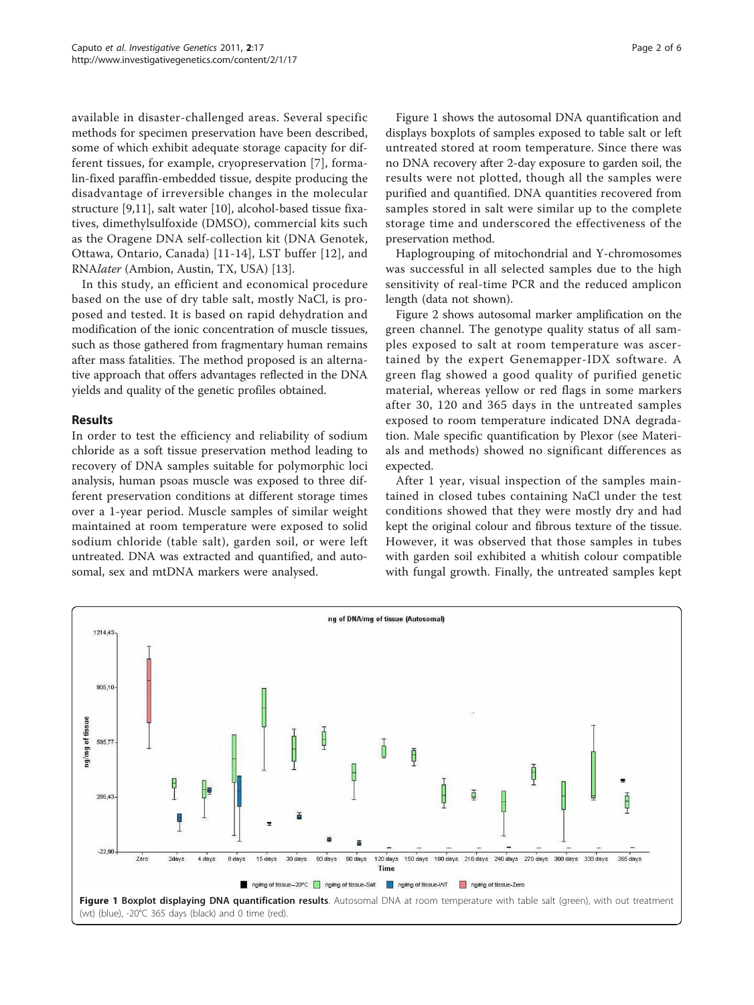available in disaster-challenged areas. Several specific methods for specimen preservation have been described, some of which exhibit adequate storage capacity for different tissues, for example, cryopreservation [[7\]](#page-4-0), formalin-fixed paraffin-embedded tissue, despite producing the disadvantage of irreversible changes in the molecular structure [[9,11\]](#page-5-0), salt water [[10\]](#page-5-0), alcohol-based tissue fixatives, dimethylsulfoxide (DMSO), commercial kits such as the Oragene DNA self-collection kit (DNA Genotek, Ottawa, Ontario, Canada) [[11](#page-5-0)-[14\]](#page-5-0), LST buffer [\[12\]](#page-5-0), and RNAlater (Ambion, Austin, TX, USA) [[13\]](#page-5-0).

In this study, an efficient and economical procedure based on the use of dry table salt, mostly NaCl, is proposed and tested. It is based on rapid dehydration and modification of the ionic concentration of muscle tissues, such as those gathered from fragmentary human remains after mass fatalities. The method proposed is an alternative approach that offers advantages reflected in the DNA yields and quality of the genetic profiles obtained.

# Results

In order to test the efficiency and reliability of sodium chloride as a soft tissue preservation method leading to recovery of DNA samples suitable for polymorphic loci analysis, human psoas muscle was exposed to three different preservation conditions at different storage times over a 1-year period. Muscle samples of similar weight maintained at room temperature were exposed to solid sodium chloride (table salt), garden soil, or were left untreated. DNA was extracted and quantified, and autosomal, sex and mtDNA markers were analysed.

Figure 1 shows the autosomal DNA quantification and displays boxplots of samples exposed to table salt or left untreated stored at room temperature. Since there was no DNA recovery after 2-day exposure to garden soil, the results were not plotted, though all the samples were purified and quantified. DNA quantities recovered from samples stored in salt were similar up to the complete storage time and underscored the effectiveness of the preservation method.

Haplogrouping of mitochondrial and Y-chromosomes was successful in all selected samples due to the high sensitivity of real-time PCR and the reduced amplicon length (data not shown).

Figure [2](#page-2-0) shows autosomal marker amplification on the green channel. The genotype quality status of all samples exposed to salt at room temperature was ascertained by the expert Genemapper-IDX software. A green flag showed a good quality of purified genetic material, whereas yellow or red flags in some markers after 30, 120 and 365 days in the untreated samples exposed to room temperature indicated DNA degradation. Male specific quantification by Plexor (see Materials and methods) showed no significant differences as expected.

After 1 year, visual inspection of the samples maintained in closed tubes containing NaCl under the test conditions showed that they were mostly dry and had kept the original colour and fibrous texture of the tissue. However, it was observed that those samples in tubes with garden soil exhibited a whitish colour compatible with fungal growth. Finally, the untreated samples kept

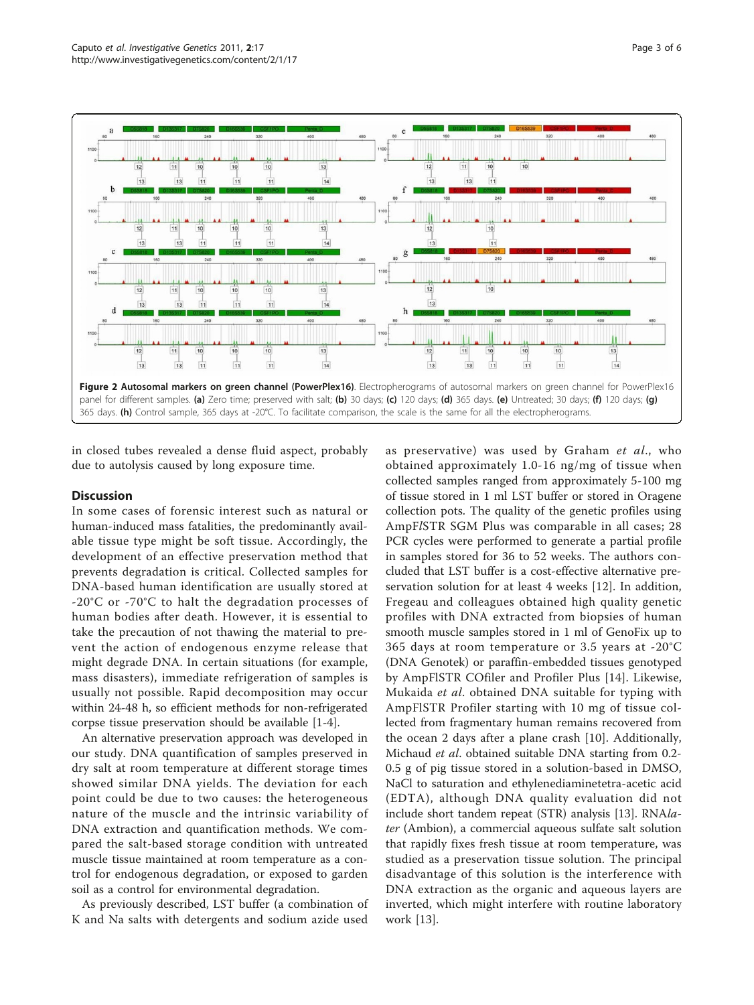<span id="page-2-0"></span>

in closed tubes revealed a dense fluid aspect, probably due to autolysis caused by long exposure time.

### **Discussion**

In some cases of forensic interest such as natural or human-induced mass fatalities, the predominantly available tissue type might be soft tissue. Accordingly, the development of an effective preservation method that prevents degradation is critical. Collected samples for DNA-based human identification are usually stored at -20°C or -70°C to halt the degradation processes of human bodies after death. However, it is essential to take the precaution of not thawing the material to prevent the action of endogenous enzyme release that might degrade DNA. In certain situations (for example, mass disasters), immediate refrigeration of samples is usually not possible. Rapid decomposition may occur within 24-48 h, so efficient methods for non-refrigerated corpse tissue preservation should be available [\[1-4](#page-4-0)].

An alternative preservation approach was developed in our study. DNA quantification of samples preserved in dry salt at room temperature at different storage times showed similar DNA yields. The deviation for each point could be due to two causes: the heterogeneous nature of the muscle and the intrinsic variability of DNA extraction and quantification methods. We compared the salt-based storage condition with untreated muscle tissue maintained at room temperature as a control for endogenous degradation, or exposed to garden soil as a control for environmental degradation.

As previously described, LST buffer (a combination of K and Na salts with detergents and sodium azide used

as preservative) was used by Graham et al., who obtained approximately 1.0-16 ng/mg of tissue when collected samples ranged from approximately 5-100 mg of tissue stored in 1 ml LST buffer or stored in Oragene collection pots. The quality of the genetic profiles using AmpFlSTR SGM Plus was comparable in all cases; 28 PCR cycles were performed to generate a partial profile in samples stored for 36 to 52 weeks. The authors concluded that LST buffer is a cost-effective alternative preservation solution for at least 4 weeks [[12\]](#page-5-0). In addition, Fregeau and colleagues obtained high quality genetic profiles with DNA extracted from biopsies of human smooth muscle samples stored in 1 ml of GenoFix up to 365 days at room temperature or 3.5 years at -20°C (DNA Genotek) or paraffin-embedded tissues genotyped by AmpFlSTR COfiler and Profiler Plus [[14](#page-5-0)]. Likewise, Mukaida et al. obtained DNA suitable for typing with AmpFlSTR Profiler starting with 10 mg of tissue collected from fragmentary human remains recovered from the ocean 2 days after a plane crash [\[10\]](#page-5-0). Additionally, Michaud et al. obtained suitable DNA starting from 0.2- 0.5 g of pig tissue stored in a solution-based in DMSO, NaCl to saturation and ethylenediaminetetra-acetic acid (EDTA), although DNA quality evaluation did not include short tandem repeat (STR) analysis [[13](#page-5-0)]. RNAlater (Ambion), a commercial aqueous sulfate salt solution that rapidly fixes fresh tissue at room temperature, was studied as a preservation tissue solution. The principal disadvantage of this solution is the interference with DNA extraction as the organic and aqueous layers are inverted, which might interfere with routine laboratory work [[13](#page-5-0)].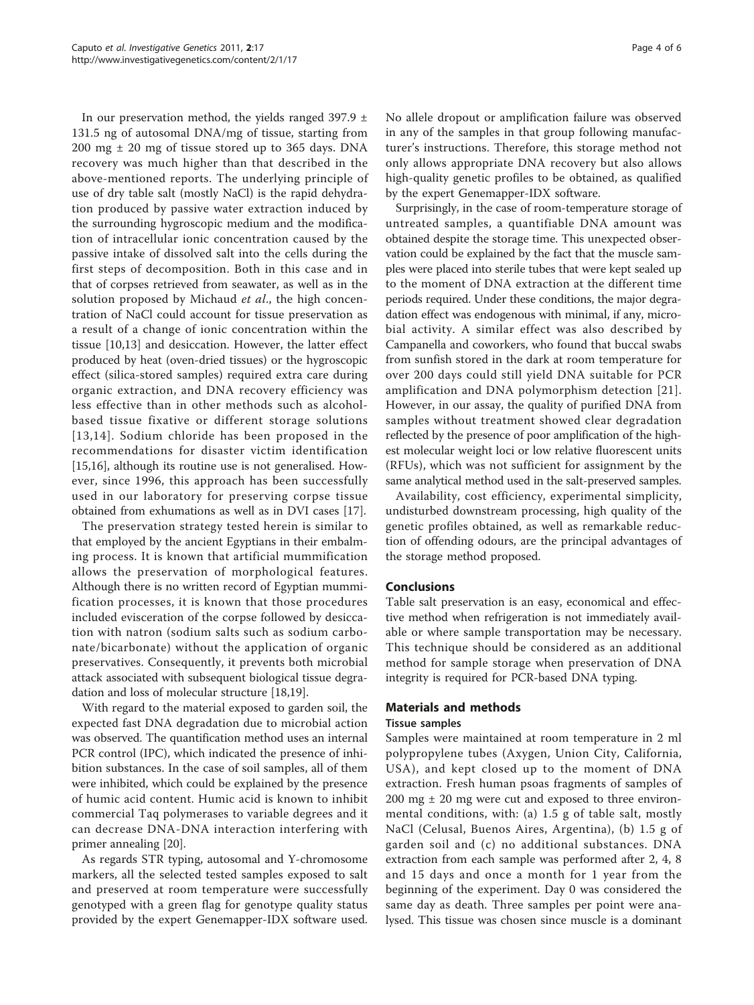In our preservation method, the yields ranged 397.9  $\pm$ 131.5 ng of autosomal DNA/mg of tissue, starting from 200 mg ± 20 mg of tissue stored up to 365 days. DNA recovery was much higher than that described in the above-mentioned reports. The underlying principle of use of dry table salt (mostly NaCl) is the rapid dehydration produced by passive water extraction induced by the surrounding hygroscopic medium and the modification of intracellular ionic concentration caused by the passive intake of dissolved salt into the cells during the first steps of decomposition. Both in this case and in that of corpses retrieved from seawater, as well as in the solution proposed by Michaud et al., the high concentration of NaCl could account for tissue preservation as a result of a change of ionic concentration within the tissue [\[10](#page-5-0),[13](#page-5-0)] and desiccation. However, the latter effect produced by heat (oven-dried tissues) or the hygroscopic effect (silica-stored samples) required extra care during organic extraction, and DNA recovery efficiency was less effective than in other methods such as alcoholbased tissue fixative or different storage solutions [[13](#page-5-0),[14](#page-5-0)]. Sodium chloride has been proposed in the recommendations for disaster victim identification [[15,16\]](#page-5-0), although its routine use is not generalised. However, since 1996, this approach has been successfully used in our laboratory for preserving corpse tissue obtained from exhumations as well as in DVI cases [\[17](#page-5-0)].

The preservation strategy tested herein is similar to that employed by the ancient Egyptians in their embalming process. It is known that artificial mummification allows the preservation of morphological features. Although there is no written record of Egyptian mummification processes, it is known that those procedures included evisceration of the corpse followed by desiccation with natron (sodium salts such as sodium carbonate/bicarbonate) without the application of organic preservatives. Consequently, it prevents both microbial attack associated with subsequent biological tissue degradation and loss of molecular structure [\[18,19\]](#page-5-0).

With regard to the material exposed to garden soil, the expected fast DNA degradation due to microbial action was observed. The quantification method uses an internal PCR control (IPC), which indicated the presence of inhibition substances. In the case of soil samples, all of them were inhibited, which could be explained by the presence of humic acid content. Humic acid is known to inhibit commercial Taq polymerases to variable degrees and it can decrease DNA-DNA interaction interfering with primer annealing [[20\]](#page-5-0).

As regards STR typing, autosomal and Y-chromosome markers, all the selected tested samples exposed to salt and preserved at room temperature were successfully genotyped with a green flag for genotype quality status provided by the expert Genemapper-IDX software used.

No allele dropout or amplification failure was observed in any of the samples in that group following manufacturer's instructions. Therefore, this storage method not only allows appropriate DNA recovery but also allows high-quality genetic profiles to be obtained, as qualified by the expert Genemapper-IDX software.

Surprisingly, in the case of room-temperature storage of untreated samples, a quantifiable DNA amount was obtained despite the storage time. This unexpected observation could be explained by the fact that the muscle samples were placed into sterile tubes that were kept sealed up to the moment of DNA extraction at the different time periods required. Under these conditions, the major degradation effect was endogenous with minimal, if any, microbial activity. A similar effect was also described by Campanella and coworkers, who found that buccal swabs from sunfish stored in the dark at room temperature for over 200 days could still yield DNA suitable for PCR amplification and DNA polymorphism detection [[21\]](#page-5-0). However, in our assay, the quality of purified DNA from samples without treatment showed clear degradation reflected by the presence of poor amplification of the highest molecular weight loci or low relative fluorescent units (RFUs), which was not sufficient for assignment by the same analytical method used in the salt-preserved samples.

Availability, cost efficiency, experimental simplicity, undisturbed downstream processing, high quality of the genetic profiles obtained, as well as remarkable reduction of offending odours, are the principal advantages of the storage method proposed.

# Conclusions

Table salt preservation is an easy, economical and effective method when refrigeration is not immediately available or where sample transportation may be necessary. This technique should be considered as an additional method for sample storage when preservation of DNA integrity is required for PCR-based DNA typing.

# Materials and methods

### Tissue samples

Samples were maintained at room temperature in 2 ml polypropylene tubes (Axygen, Union City, California, USA), and kept closed up to the moment of DNA extraction. Fresh human psoas fragments of samples of 200 mg  $\pm$  20 mg were cut and exposed to three environmental conditions, with: (a) 1.5 g of table salt, mostly NaCl (Celusal, Buenos Aires, Argentina), (b) 1.5 g of garden soil and (c) no additional substances. DNA extraction from each sample was performed after 2, 4, 8 and 15 days and once a month for 1 year from the beginning of the experiment. Day 0 was considered the same day as death. Three samples per point were analysed. This tissue was chosen since muscle is a dominant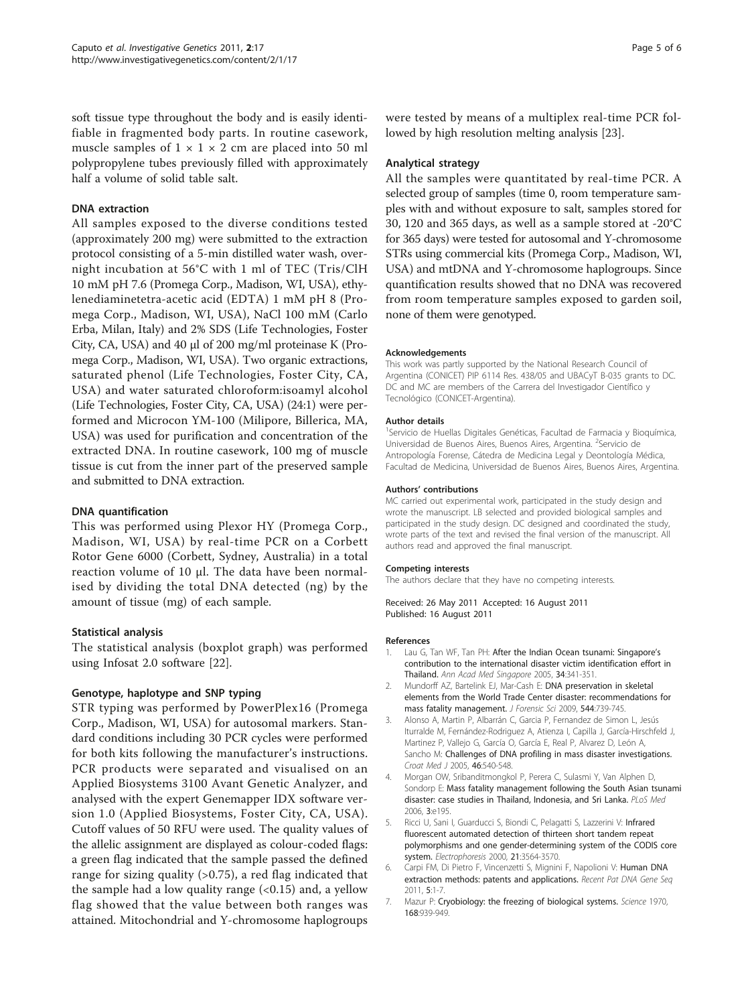<span id="page-4-0"></span>soft tissue type throughout the body and is easily identifiable in fragmented body parts. In routine casework, muscle samples of  $1 \times 1 \times 2$  cm are placed into 50 ml polypropylene tubes previously filled with approximately half a volume of solid table salt.

# DNA extraction

All samples exposed to the diverse conditions tested (approximately 200 mg) were submitted to the extraction protocol consisting of a 5-min distilled water wash, overnight incubation at 56°C with 1 ml of TEC (Tris/ClH 10 mM pH 7.6 (Promega Corp., Madison, WI, USA), ethylenediaminetetra-acetic acid (EDTA) 1 mM pH 8 (Promega Corp., Madison, WI, USA), NaCl 100 mM (Carlo Erba, Milan, Italy) and 2% SDS (Life Technologies, Foster City, CA, USA) and 40 μl of 200 mg/ml proteinase K (Promega Corp., Madison, WI, USA). Two organic extractions, saturated phenol (Life Technologies, Foster City, CA, USA) and water saturated chloroform:isoamyl alcohol (Life Technologies, Foster City, CA, USA) (24:1) were performed and Microcon YM-100 (Milipore, Billerica, MA, USA) was used for purification and concentration of the extracted DNA. In routine casework, 100 mg of muscle tissue is cut from the inner part of the preserved sample and submitted to DNA extraction.

### DNA quantification

This was performed using Plexor HY (Promega Corp., Madison, WI, USA) by real-time PCR on a Corbett Rotor Gene 6000 (Corbett, Sydney, Australia) in a total reaction volume of 10 μl. The data have been normalised by dividing the total DNA detected (ng) by the amount of tissue (mg) of each sample.

### Statistical analysis

The statistical analysis (boxplot graph) was performed using Infosat 2.0 software [\[22](#page-5-0)].

# Genotype, haplotype and SNP typing

STR typing was performed by PowerPlex16 (Promega Corp., Madison, WI, USA) for autosomal markers. Standard conditions including 30 PCR cycles were performed for both kits following the manufacturer's instructions. PCR products were separated and visualised on an Applied Biosystems 3100 Avant Genetic Analyzer, and analysed with the expert Genemapper IDX software version 1.0 (Applied Biosystems, Foster City, CA, USA). Cutoff values of 50 RFU were used. The quality values of the allelic assignment are displayed as colour-coded flags: a green flag indicated that the sample passed the defined range for sizing quality (>0.75), a red flag indicated that the sample had a low quality range  $( $0.15$ )$  and, a yellow flag showed that the value between both ranges was attained. Mitochondrial and Y-chromosome haplogroups

were tested by means of a multiplex real-time PCR followed by high resolution melting analysis [\[23](#page-5-0)].

### Analytical strategy

All the samples were quantitated by real-time PCR. A selected group of samples (time 0, room temperature samples with and without exposure to salt, samples stored for 30, 120 and 365 days, as well as a sample stored at -20°C for 365 days) were tested for autosomal and Y-chromosome STRs using commercial kits (Promega Corp., Madison, WI, USA) and mtDNA and Y-chromosome haplogroups. Since quantification results showed that no DNA was recovered from room temperature samples exposed to garden soil, none of them were genotyped.

#### Acknowledgements

This work was partly supported by the National Research Council of Argentina (CONICET) PIP 6114 Res. 438/05 and UBACyT B-035 grants to DC. DC and MC are members of the Carrera del Investigador Científico y Tecnológico (CONICET-Argentina).

#### Author details

1 Servicio de Huellas Digitales Genéticas, Facultad de Farmacia y Bioquímica, Universidad de Buenos Aires, Buenos Aires, Argentina. <sup>2</sup>Servicio de Antropología Forense, Cátedra de Medicina Legal y Deontología Médica, Facultad de Medicina, Universidad de Buenos Aires, Buenos Aires, Argentina.

#### Authors' contributions

MC carried out experimental work, participated in the study design and wrote the manuscript. LB selected and provided biological samples and participated in the study design. DC designed and coordinated the study, wrote parts of the text and revised the final version of the manuscript. All authors read and approved the final manuscript.

#### Competing interests

The authors declare that they have no competing interests.

Received: 26 May 2011 Accepted: 16 August 2011 Published: 16 August 2011

#### References

- Lau G, Tan WF, Tan PH: [After the Indian Ocean tsunami: Singapore](http://www.ncbi.nlm.nih.gov/pubmed/16021223?dopt=Abstract)'s [contribution to the international disaster victim identification effort in](http://www.ncbi.nlm.nih.gov/pubmed/16021223?dopt=Abstract) [Thailand.](http://www.ncbi.nlm.nih.gov/pubmed/16021223?dopt=Abstract) Ann Acad Med Singapore 2005, 34:341-351.
- 2. Mundorff AZ, Bartelink EJ, Mar-Cash E: DNA preservation in skeletal elements from the World Trade Center disaster: recommendations for mass fatality management. J Forensic Sci 2009, 544:739-745.
- 3. Alonso A, Martin P, Albarrán C, Garcia P, Fernandez de Simon L, Jesús Iturralde M, Fernández-Rodriguez A, Atienza I, Capilla J, García-Hirschfeld J, Martinez P, Vallejo G, García O, García E, Real P, Alvarez D, León A, Sancho M: [Challenges of DNA profiling in mass disaster investigations.](http://www.ncbi.nlm.nih.gov/pubmed/16100756?dopt=Abstract) Croat Med J 2005, 46:540-548.
- 4. Morgan OW, Sribanditmongkol P, Perera C, Sulasmi Y, Van Alphen D, Sondorp E: [Mass fatality management following the South Asian tsunami](http://www.ncbi.nlm.nih.gov/pubmed/16737348?dopt=Abstract) [disaster: case studies in Thailand, Indonesia, and Sri Lanka.](http://www.ncbi.nlm.nih.gov/pubmed/16737348?dopt=Abstract) PLoS Med 2006, 3:e195.
- Ricci U, Sani I, Guarducci S, Biondi C, Pelagatti S, Lazzerini V: [Infrared](http://www.ncbi.nlm.nih.gov/pubmed/11271472?dopt=Abstract) [fluorescent automated detection of thirteen short tandem repeat](http://www.ncbi.nlm.nih.gov/pubmed/11271472?dopt=Abstract) [polymorphisms and one gender-determining system of the CODIS core](http://www.ncbi.nlm.nih.gov/pubmed/11271472?dopt=Abstract) [system.](http://www.ncbi.nlm.nih.gov/pubmed/11271472?dopt=Abstract) Electrophoresis 2000, 21:3564-3570.
- 6. Carpi FM, Di Pietro F, Vincenzetti S, Mignini F, Napolioni V: [Human DNA](http://www.ncbi.nlm.nih.gov/pubmed/21303346?dopt=Abstract) [extraction methods: patents and applications.](http://www.ncbi.nlm.nih.gov/pubmed/21303346?dopt=Abstract) Recent Pat DNA Gene Seq 2011, 5:1-7.
- 7. Mazur P: [Cryobiology: the freezing of biological systems.](http://www.ncbi.nlm.nih.gov/pubmed/5462399?dopt=Abstract) Science 1970, 168:939-949.